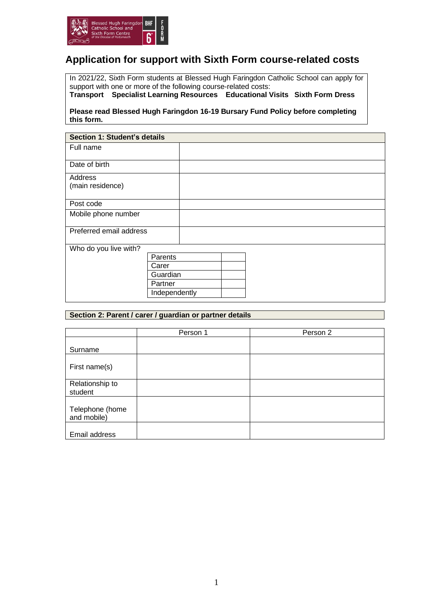

## **Application for support with Sixth Form course-related costs**

In 2021/22, Sixth Form students at Blessed Hugh Faringdon Catholic School can apply for support with one or more of the following course-related costs: **Transport Specialist Learning Resources Educational Visits Sixth Form Dress** 

**Please read Blessed Hugh Faringdon 16-19 Bursary Fund Policy before completing this form.**

| <b>Section 1: Student's details</b> |               |  |  |  |  |  |  |
|-------------------------------------|---------------|--|--|--|--|--|--|
| Full name                           |               |  |  |  |  |  |  |
|                                     |               |  |  |  |  |  |  |
| Date of birth                       |               |  |  |  |  |  |  |
| Address                             |               |  |  |  |  |  |  |
| (main residence)                    |               |  |  |  |  |  |  |
|                                     |               |  |  |  |  |  |  |
| Post code                           |               |  |  |  |  |  |  |
| Mobile phone number                 |               |  |  |  |  |  |  |
|                                     |               |  |  |  |  |  |  |
| Preferred email address             |               |  |  |  |  |  |  |
|                                     |               |  |  |  |  |  |  |
| Who do you live with?               |               |  |  |  |  |  |  |
|                                     | Parents       |  |  |  |  |  |  |
|                                     | Carer         |  |  |  |  |  |  |
|                                     | Guardian      |  |  |  |  |  |  |
|                                     | Partner       |  |  |  |  |  |  |
|                                     | Independently |  |  |  |  |  |  |
|                                     |               |  |  |  |  |  |  |

## **Section 2: Parent / carer / guardian or partner details**

|                                | Person 1 | Person 2 |
|--------------------------------|----------|----------|
| Surname                        |          |          |
| First name(s)                  |          |          |
| Relationship to<br>student     |          |          |
| Telephone (home<br>and mobile) |          |          |
| Email address                  |          |          |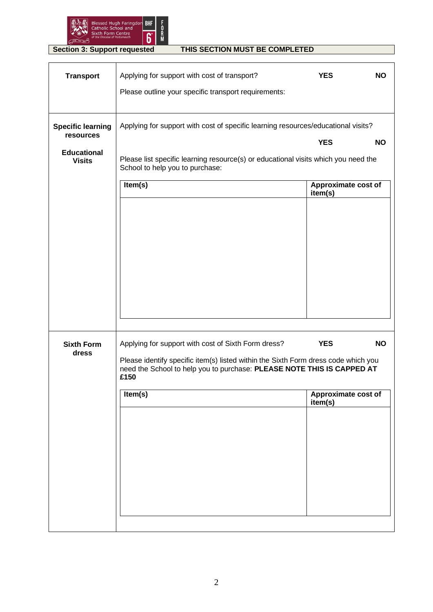

## **Section 3: Support requested THIS SECTION MUST BE COMPLETED**

| <b>Transport</b>                      | Applying for support with cost of transport?                                                                                                                                                                                           | <b>YES</b>                                   | <b>NO</b> |
|---------------------------------------|----------------------------------------------------------------------------------------------------------------------------------------------------------------------------------------------------------------------------------------|----------------------------------------------|-----------|
|                                       | Please outline your specific transport requirements:                                                                                                                                                                                   |                                              |           |
| <b>Specific learning</b><br>resources | Applying for support with cost of specific learning resources/educational visits?                                                                                                                                                      |                                              |           |
| <b>Educational</b><br><b>Visits</b>   | Please list specific learning resource(s) or educational visits which you need the<br>School to help you to purchase:                                                                                                                  | <b>YES</b>                                   | <b>NO</b> |
|                                       | Item(s)                                                                                                                                                                                                                                | Approximate cost of<br>item(s)               |           |
| <b>Sixth Form</b><br>dress            | Applying for support with cost of Sixth Form dress?<br>Please identify specific item(s) listed within the Sixth Form dress code which you<br>need the School to help you to purchase: PLEASE NOTE THIS IS CAPPED AT<br>£150<br>Item(s) | <b>YES</b><br>Approximate cost of<br>item(s) | <b>NO</b> |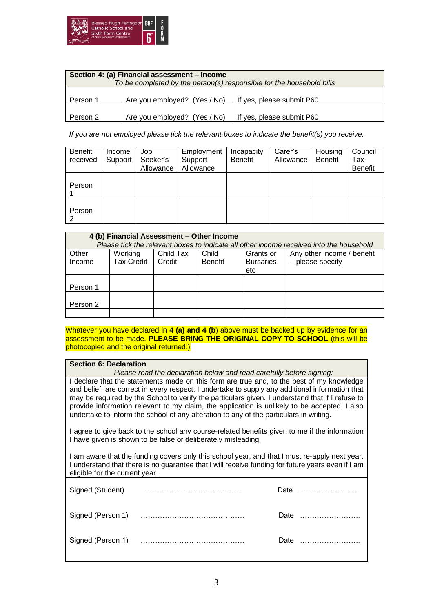

| Section 4: (a) Financial assessment - Income<br>To be completed by the person(s) responsible for the household bills |                              |                           |  |  |  |  |
|----------------------------------------------------------------------------------------------------------------------|------------------------------|---------------------------|--|--|--|--|
|                                                                                                                      |                              |                           |  |  |  |  |
| Person 1                                                                                                             | Are you employed? (Yes / No) | If yes, please submit P60 |  |  |  |  |
| Person 2                                                                                                             | Are you employed? (Yes / No) | If yes, please submit P60 |  |  |  |  |

*If you are not employed please tick the relevant boxes to indicate the benefit(s) you receive.*

| Benefit<br>received | Income<br>Support | Job<br>Seeker's<br>Allowance | Employment<br>Support<br>Allowance | Incapacity<br>Benefit | Carer's<br>Allowance | Housing<br><b>Benefit</b> | Council<br>Tax<br><b>Benefit</b> |
|---------------------|-------------------|------------------------------|------------------------------------|-----------------------|----------------------|---------------------------|----------------------------------|
| Person              |                   |                              |                                    |                       |                      |                           |                                  |
| Person<br>2         |                   |                              |                                    |                       |                      |                           |                                  |

| 4 (b) Financial Assessment - Other Income<br>Please tick the relevant boxes to indicate all other income received into the household |                                                                                                                                                                          |  |  |  |  |  |  |  |
|--------------------------------------------------------------------------------------------------------------------------------------|--------------------------------------------------------------------------------------------------------------------------------------------------------------------------|--|--|--|--|--|--|--|
| Other<br>Income                                                                                                                      | Any other income / benefit<br>Working<br>Child Tax<br>Child<br>Grants or<br><b>Tax Credit</b><br>- please specify<br>Credit<br><b>Bursaries</b><br><b>Benefit</b><br>etc |  |  |  |  |  |  |  |
| Person 1                                                                                                                             |                                                                                                                                                                          |  |  |  |  |  |  |  |
| Person 2                                                                                                                             |                                                                                                                                                                          |  |  |  |  |  |  |  |
|                                                                                                                                      |                                                                                                                                                                          |  |  |  |  |  |  |  |

Whatever you have declared in 4 (a) and 4 (b) above must be backed up by evidence for an assessment to be made. **PLEASE BRING THE ORIGINAL COPY TO SCHOOL** (this will be photocopied and the original returned.)

## **Section 6: Declaration**

*Please read the declaration below and read carefully before signing:* I declare that the statements made on this form are true and, to the best of my knowledge and belief, are correct in every respect. I undertake to supply any additional information that may be required by the School to verify the particulars given. I understand that if I refuse to provide information relevant to my claim, the application is unlikely to be accepted. I also undertake to inform the school of any alteration to any of the particulars in writing.

I agree to give back to the school any course-related benefits given to me if the information I have given is shown to be false or deliberately misleading.

I am aware that the funding covers only this school year, and that I must re-apply next year. I understand that there is no guarantee that I will receive funding for future years even if I am eligible for the current year.

| Signed (Student) | Date |  |
|------------------|------|--|
|                  | Date |  |
|                  | Date |  |